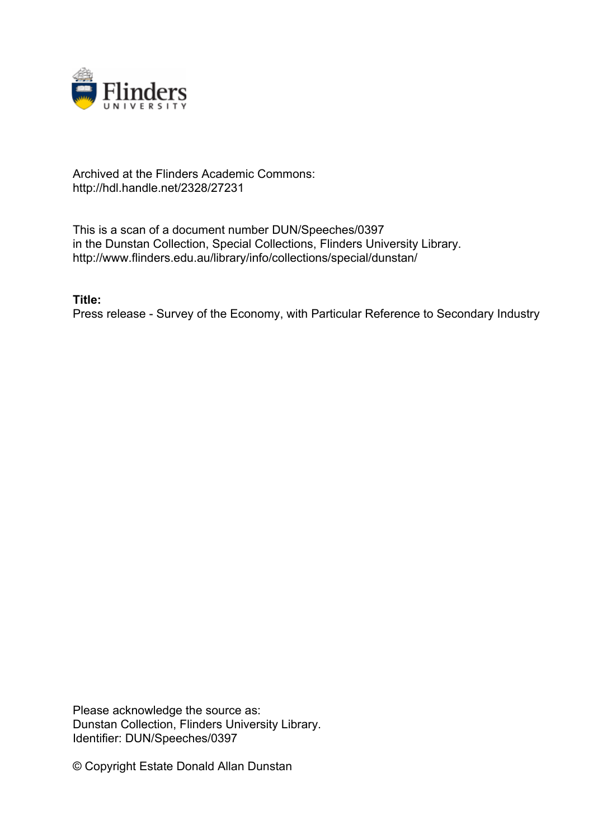

## Archived at the Flinders Academic Commons: http://hdl.handle.net/2328/27231

This is a scan of a document number DUN/Speeches/0397 in the Dunstan Collection, Special Collections, Flinders University Library. http://www.flinders.edu.au/library/info/collections/special/dunstan/

**Title:**

Press release - Survey of the Economy, with Particular Reference to Secondary Industry

Please acknowledge the source as: Dunstan Collection, Flinders University Library. Identifier: DUN/Speeches/0397

© Copyright Estate Donald Allan Dunstan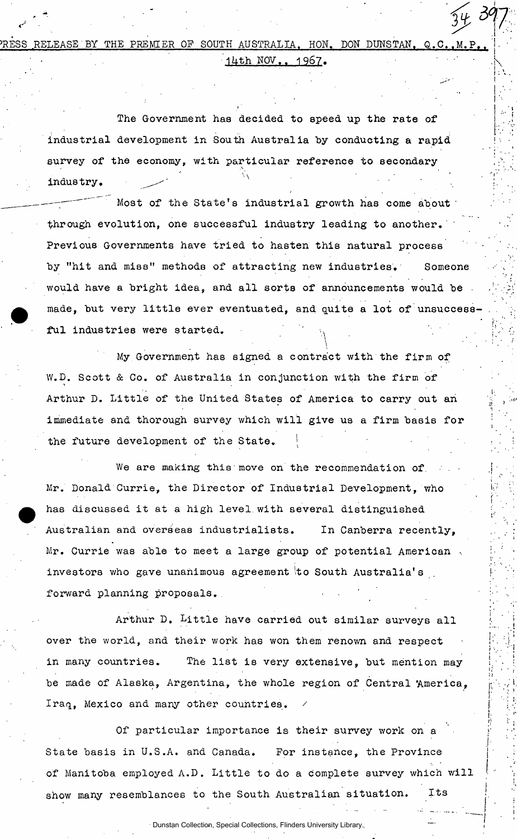RELEASE BY THE PREMIER OF SOUTH AUSTRALIA, HON. DON DUNSTAN, Q.C..M.P  $14th$  NOV.. 1967.

The Government has decided to speed up the rate of industrial development in South Australia by conducting a rapid survey of the economy, with particular reference to secondary industry.

Most of the State's industrial growth has come about through evolution, one successful industry leading to another. Previous Governments have tried to hasten this natural process by "hit and miss" methods of attracting new industries. Someone would have a bright idea, and all sorts of announcements would be made, but very little ever eventuated, and quite a lot of unsuccessful industries were started, **i** 

 $\bf V$  , and the set of the set of the set of the set of the set of the set of the set of the set of the set of the set of the set of the set of the set of the set of the set of the set of the set of the set of the set of

 $\left(\begin{array}{cc} 0 & 0 \\ 0 & 0 \end{array}\right)$ 

My Government has signed a contract with the firm of W.D. Scott & Co. of Australia in conjunction with the firm of Arthur D. Little of the United States of America to carry out ah immediate and thorough survey which will give us a firm basis for the future development of the State.

We are making this move on the recommendation of. Mr. Donald Currie, the Director of Industrial Development, who has discussed it at a high level, with several distinguished Australian and overseas industrialists. In Canberra recently, Mr. Currie was able to meet a large group of potential American .. investors who gave unanimous agreement to South Australia's forward planning proposals.

Arthur D. Little have carried out similar surveys all over the world, and their work has won them renown and respect in many countries. The list is very extensive, but mention may be made of Alaska, Argentina, the whole region of Central 'America, Iraq, Mexico and many other countries.

Of particular importance is their survey work on a State basis in U.S.A. and Canada. For instance, the Province of Manitoba employed A.D. Little to do a complete survey which will show many resemblances to the South Australian situation. Its

Dunstan Collection, Special Collections, Flinders University Library.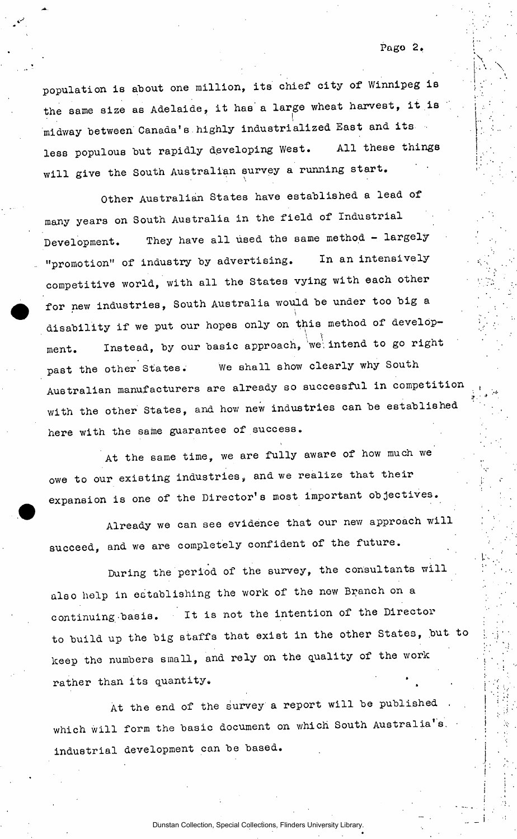population is about one million, its chief city of Winnipeg is the same size as Adelaide, it has a large wheat harvest, it is midway between Canada's highly industrialized East and its less populous but rapidly developing West. All these things will give the South Australian survey a running start.

Other Australian States have established a lead of many years on South Australia in the field of Industrial Development. They have all used the same method - largely "promotion" of industry by advertising. In an intensively competitive world, with all the States vying with each other for new industries, South Australia would be under too big a ՝<br>≁.⊾ disability if we put our hopes only on this method of develop- $\mathcal{V}^{\mathcal{I}}$ ment. Instead, by our basic approach,  $\frac{1}{100}$ past the other others. We shall show clearly which Australian manufacturers are already so successful in competition in competition in competition in competition with the other States, and how new industries can be established here with the same guarantee of success.

At the same time, we are fully aware of how much we owe to our existing industries, and we realize that their expansion is one of the Director's most important objectives.

Already we can see evidence that our new approach will succeed, and we are completely confident of the future.

During the period of the survey, the consultants will also help in establishing the work of the new Branch on a continuing basis. It is not the intention of the Director to build up the big staffs that exist in the other States, but to keep the numbers small, and rely on the quality of the work rather than its quantity.

At the end of the survey a report will be published which will form the basic document on which South Australia's. industrial development can be based.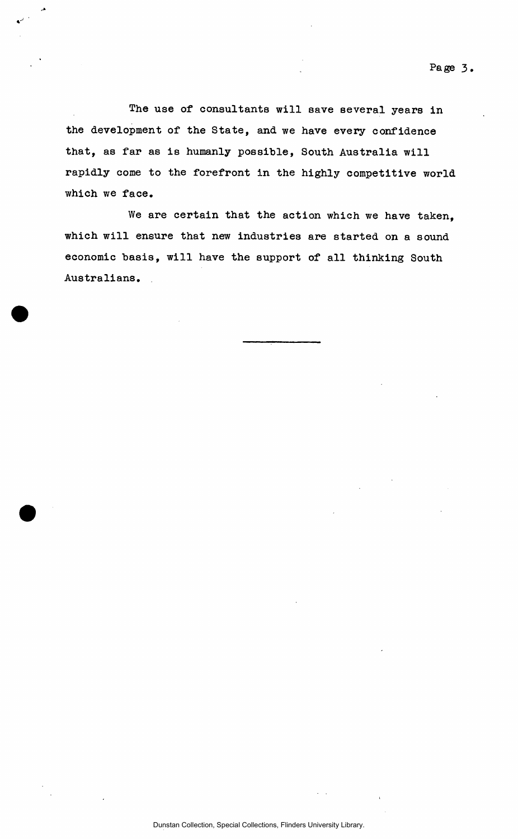The use of consultants will save several years in the development of the State, and we have every confidence that, as far as is humanly possible, South Australia will rapidly come to the forefront in the highly competitive world which we face.

We are certain that the action which we have taken, which will ensure that new industries are started on a sound economic basis, will have the support of all thinking South Australians.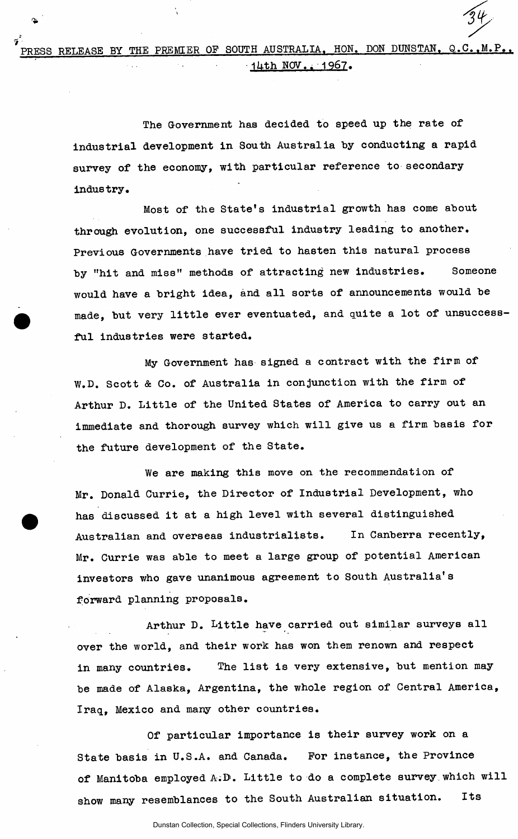The Government has decided to speed up the rate of industrial development in South Australia by conducting a rapid survey of the economy, with particular reference to secondary industry.

Most of the State's industrial growth has come about through evolution, one successful industry leading to another. Previous Governments have tried to hasten this natural process by "hit and miss" methods of attracting new industries. Someone would have a bright idea, and all sorts of announcements would be made, but very little ever eventuated, and quite a lot of unsuccessful industries were started.

My Government has signed a contract with the firm of W.D. Scott & Co. of Australia in conjunction with the firm of Arthur D. Little of the United States of America to carry out an immediate and thorough survey which will give us a firm basis for the future development of the State.

We are making this move on the recommendation of Mr. Donald Currie, the Director of Industrial Development, who has discussed it at a high level with several distinguished Australian and overseas industrialists. In Canberra recently, Mr. Currie was able to meet a large group of potential American investors who gave unanimous agreement to South Australia's forward planning proposals.

Arthur D. Little have carried out similar surveys all over the world, and their work has won them renown and respect in many countries. The list is very extensive, but mention may be made of Alaska, Argentina, the whole region of Central America, Iraq, Mexico and many other countries.

Of particular importance is their survey work on a State basis in U.S.A. and Canada. For instance, the Province of Manitoba employed A:D. Little to do a complete survey which will show many resemblances to the South Australian situation. Its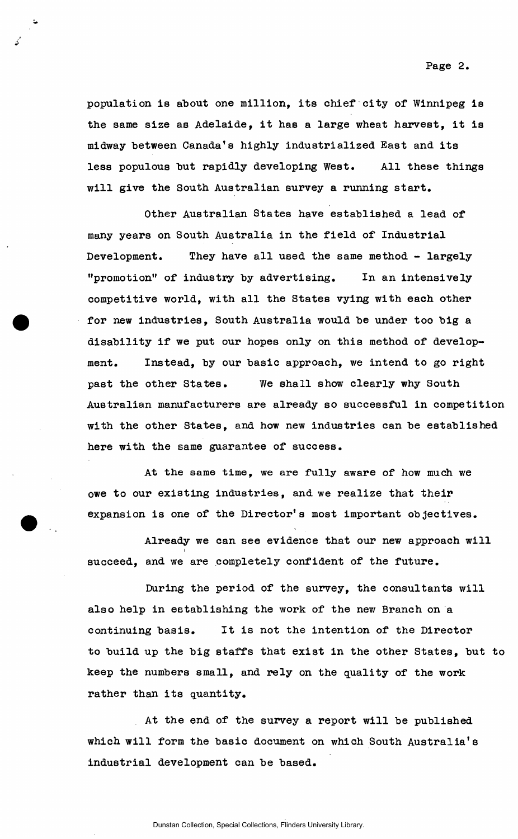**Pago 2,** 

population is about one million, its chief city of Winnipeg is the same size as Adelaide, it has a large wheat harvest, it is midway between Canada's highly industrialized East and its less populous but rapidly developing West. All these things will give the South Australian survey a running start.

Other Australian States have established a lead of many years on South Australia in the field of Industrial Development. They have all used the same method - largely "promotion" of industry by advertising. In an intensively competitive world, with all the States vying with each other for new industries, South Australia would be under too big a disability if we put our hopes only on this method of development. Instead, by our basic approach, we intend to go right past the other States. We shall show clearly why South Australian manufacturers are already so successful in competition with the other States, and how new industries can be established here with the same guarantee of success.

At the same time, we are fully aware of how much we owe to our existing industries, and we realize that their expansion is one of the Director's most important objectives.

Already we can see evidence that our new approach will  $\tilde{i}$ succeed, and we are completely confident of the future.

During the period of the survey, the consultants will also help in establishing the work of the new Branch on a continuing basis. It is not the intention of the Director to build up the big staffs that exist in the other States, but to keep the numbers small, and rely on the quality of the work rather than its quantity.

At the end of the survey a report will be published which will form the basic document on which South Australia's industrial development can be based.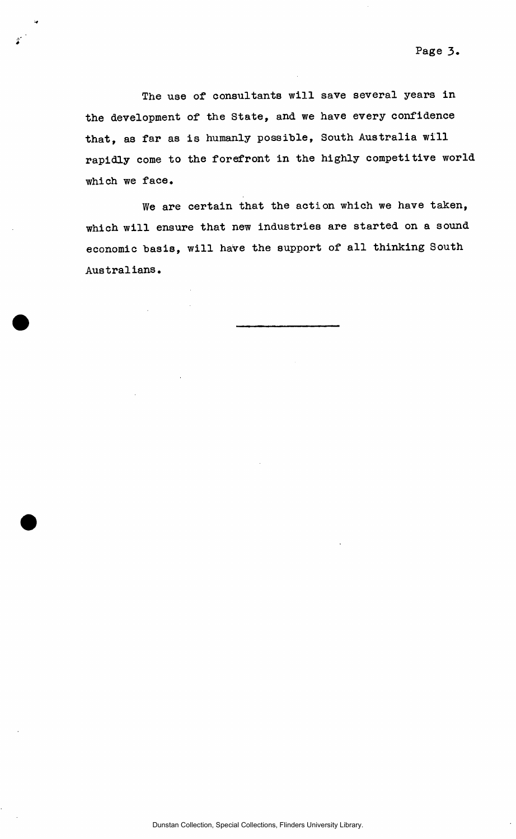The use of consultants will save several years in the development of the State, and we have every confidence that, as far as is humanly possible, South Australia will rapidly come to the forefront in the highly competitive world which we face.

 $\hat{\mathbf{r}}$ 

We are certain that the action which we have taken, which will ensure that new industries are started on a sound economic basis, will have the support of all thinking South Australians.

Dunstan Collection, Special Collections, Flinders University Library.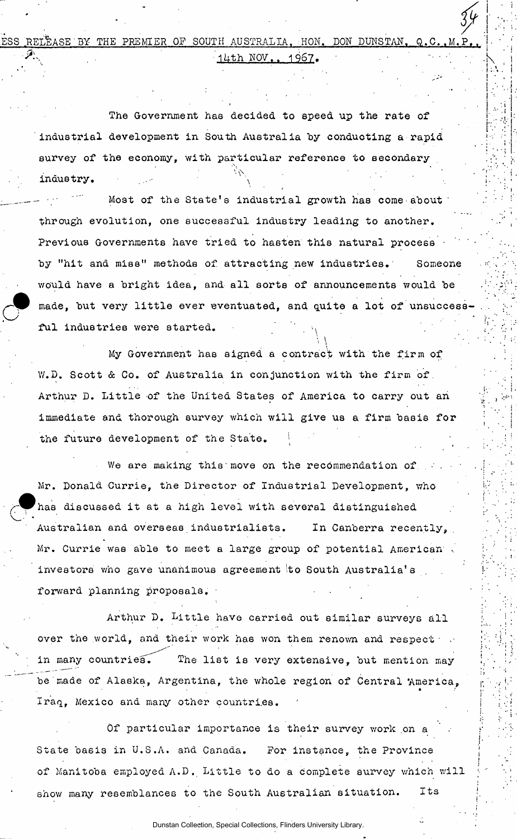$\frac{34}{5}$  .  $P_{\bullet\bullet}$   $\parallel$   $\parallel$   $\parallel$  $\mathcal{P}_1$  (14th NOV., 1967.)  $\blacksquare$ *y* i . RELEASE BY THE PREMIER OF SOUTH AUSTRALIA. HON. DON DUNSTAN. Q.C.

 $\mathbf{P}_{\mathbf{1}}=\mathbf{P}_{\mathbf{1}}\left(\mathbf{P}_{\mathbf{1}}\right)$  is a set of the set of the set of the set of the set of the set of the set of the set of the set of the set of the set of the set of the set of the set of the set of the set of

 $\left[\begin{array}{c} 1,\cdots,\\ 1,\cdots,\\ 1,\cdots,\\ 1,\cdots,\\ 1,\cdots,\\ 1,\cdots,\\ 1,\cdots,\\ 1,\cdots,\\ 1,\cdots,\\ 1,\cdots,\\ 1,\cdots,\\ 1,\cdots,\\ 1,\cdots,\\ 1,\cdots,\\ 1,\cdots,\\ 1,\cdots,\\ 1,\cdots,\\ 1,\cdots,\\ 1,\cdots,\\ 1,\cdots,\\ 1,\cdots,\\ 1,\cdots,\\ 1,\cdots,\\ 1,\cdots,\\ 1,\cdots,\\ 1,\cdots,\\ 1,\cdots,\\ 1,\cdots,\\ 1,\cdots,\\ 1,\cdots,\\$ 

**i- •** 

 $\mathbf{F}_{\mathbf{r}}$ 

 $\left| \cdot \right|$  $\ddot{a}$  .

The Government has decided to speed up the rate of industrial development in South Australia by conducting a rapid survey of the economy, with particular reference to secondary industry.

Most of the State's industrial growth has come about through evolution, one successful industry leading to another. Previous Governments have tried to hasten this natural process by "hit and miss" methods of attracting new industries. Someone would have a bright idea, and all sorts of announcements would be made, but very little ever eventuated, and quite a lot of unsuccess-<br> **a** ful industries were started. ful industries were started.

 $\cdot$  \  $\cdot$ 

My Government has signed a contract with the firm of V/.D. Scott & Co. of Australia in conjunction with the firm of. Arthur D. Little of the United States of America to carry out an immediate and thorough survey which will give us a firm basis for the future development of the State.

We are making this move on the recommendation of Mr. **Donald** Currie, the Director of Industrial Development, who has discussed it at a high level with several distinguished Australian and overseas industrialists. In Canberra recently. Mr. Currie was able to meet a large group of potential American . investors who gave unanimous agreement to South Australia's forward planning proposals.

Arthur D. Little have carried out similar surveys all over the world, and their work has won them renown and respect in many countries. The list is very extensive, but mention may be made of Alaska, Argentina, the whole region of Central America, Iraq, Mexico and many other countries.

Of particular importance is their survey work on a State ba6is in U.S.A. and Canada. For instance, the Province of Manitoba employed A.D. Little to do a complete survey which will show many resemblances to the South Australian situation. Its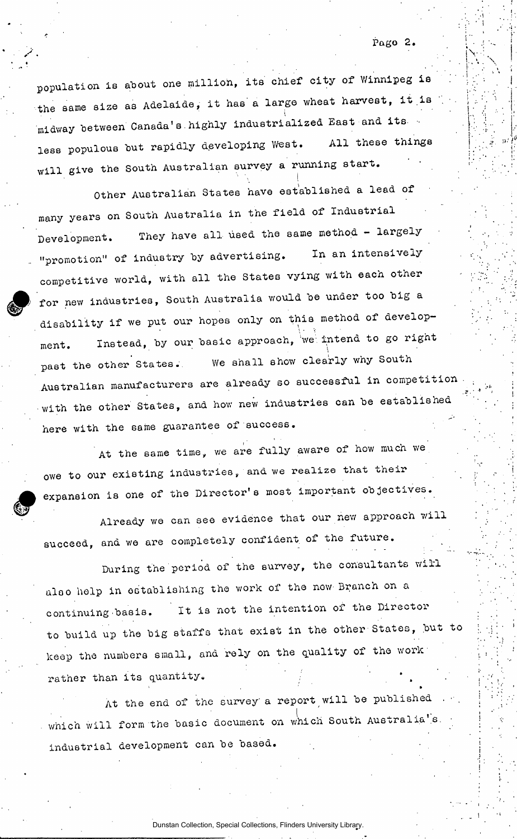»

population is about one million, its chief city of Winnipeg is the same size as Adelaide, it has a large wheat harvest, it is midway between Canada's highly industrialized East and its less populous but rapidly developing West. All these things will give the South Australian survey a running start.

Other Australian States have established a lead of many years on South Australia in the field of Industrial Development. They have all used the same method - largely "promotion" of industry by advertising. **In** an intensively **competitive** world, with all the States vying with each other for new industries, South Australia would be under too big a disability if we put our hopes only on this method of development. Instead, by our basic approach, we intend to go right past the other States. We shall show clearly why South Australian manufacturers are already so successful in competition with the other States, and how new industries can be established here with the same guarantee of success.

At the same time, we are fully aware of how much we owe to our existing **industries, and we realize that their**  expansion is one of the Director's most important objectives.

Already we can see evidence that our new approach will succeed, and we are completely confident of the future.

During the period of the survey, the consultants will also help in establishing the work of the now Branch on a **continuing**.basis. ' **It** is not the intention of **the** Director to build up the big staffs that exist in the other States, but to keep the numbers small, and rely on the quality of the work rather than its quantity.

At the end of the survey a report will be published which will form the basic document on which South Australia's. industrial development can be based.

Dunstan Collection, Special Collections, Flinders University Library.